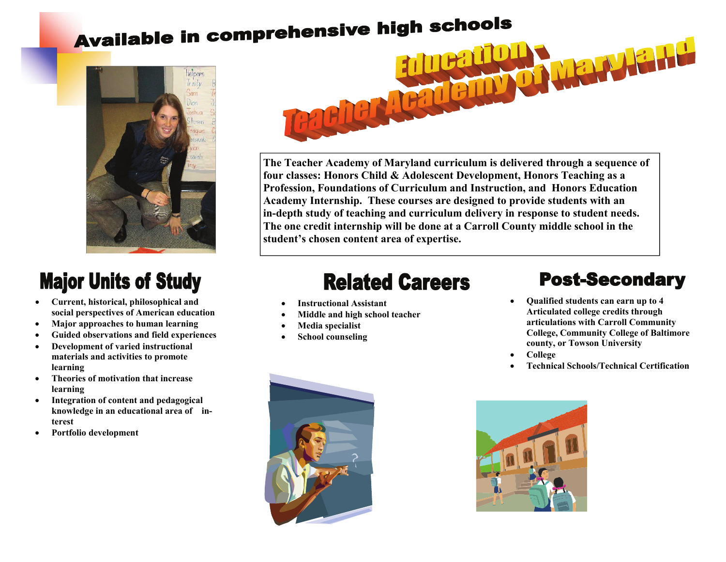# Available in comprehensive high schools



## **Major Units of Study**

- **Current, historical, philosophical and social perspectives of American education**
- **Major approaches to human learning**
- **Guided observations and field experiences**
- **Development of varied instructional materials and activities to promote learning**
- **Theories of motivation that increase learning**
- **Integration of content and pedagogical knowledge in an educational area of interest**
- **Portfolio development**



**The Teacher Academy of Maryland curriculum is delivered through a sequence of four classes: Honors Child & Adolescent Development, Honors Teaching as a Profession, Foundations of Curriculum and Instruction, and Honors Education Academy Internship. These courses are designed to provide students with an in-depth study of teaching and curriculum delivery in response to student needs. The one credit internship will be done at a Carroll County middle school in the student's chosen content area of expertise.** 

### **Related Careers**

- **Instructional Assistant**
- **Middle and high school teacher**
- **Media specialist**
- **School counseling**

#### **Post-Secondary**

- **Qualified students can earn up to 4 Articulated college credits through articulations with Carroll Community College, Community College of Baltimore county, or Towson University**
- **College**
- **Technical Schools/Technical Certification**